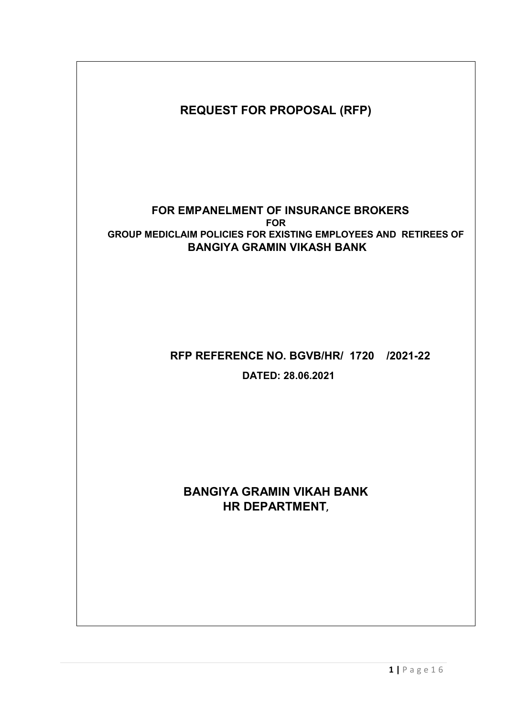# REQUEST FOR PROPOSAL (RFP)

#### FOR EMPANELMENT OF INSURANCE BROKERS FOR GROUP MEDICLAIM POLICIES FOR EXISTING EMPLOYEES AND RETIREES OF BANGIYA GRAMIN VIKASH BANK

# RFP REFERENCE NO. BGVB/HR/ 1720 /2021-22

DATED: 28.06.2021

# BANGIYA GRAMIN VIKAH BANK HR DEPARTMENT,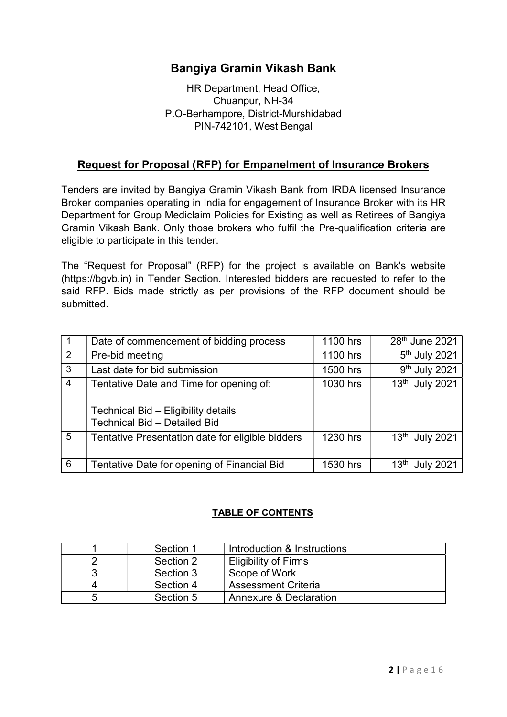# Bangiya Gramin Vikash Bank

## HR Department, Head Office, Chuanpur, NH-34 P.O-Berhampore, District-Murshidabad PIN-742101, West Bengal

# Request for Proposal (RFP) for Empanelment of Insurance Brokers

Tenders are invited by Bangiya Gramin Vikash Bank from IRDA licensed Insurance Broker companies operating in India for engagement of Insurance Broker with its HR Department for Group Mediclaim Policies for Existing as well as Retirees of Bangiya Gramin Vikash Bank. Only those brokers who fulfil the Pre-qualification criteria are eligible to participate in this tender.

The "Request for Proposal" (RFP) for the project is available on Bank's website (https://bgvb.in) in Tender Section. Interested bidders are requested to refer to the said RFP. Bids made strictly as per provisions of the RFP document should be submitted.

|                 | Date of commencement of bidding process                             | 1100 hrs | 28th June 2021                       |
|-----------------|---------------------------------------------------------------------|----------|--------------------------------------|
| 2               | Pre-bid meeting                                                     | 1100 hrs | 5 <sup>th</sup> July 2021            |
| 3               | Last date for bid submission                                        | 1500 hrs | 9 <sup>th</sup> July 2021            |
| $\overline{4}$  | Tentative Date and Time for opening of:                             | 1030 hrs | 13th July 2021                       |
|                 | Technical Bid - Eligibility details<br>Technical Bid - Detailed Bid |          |                                      |
| $5\phantom{1}$  | Tentative Presentation date for eligible bidders                    | 1230 hrs | 13 <sup>th</sup> July 2021           |
| $6\phantom{1}6$ | Tentative Date for opening of Financial Bid                         | 1530 hrs | 13 <sup>th</sup><br><b>July 2021</b> |

## TABLE OF CONTENTS

|   | Section 1 | Introduction & Instructions       |
|---|-----------|-----------------------------------|
|   | Section 2 | <b>Eligibility of Firms</b>       |
|   | Section 3 | Scope of Work                     |
|   | Section 4 | <b>Assessment Criteria</b>        |
| b | Section 5 | <b>Annexure &amp; Declaration</b> |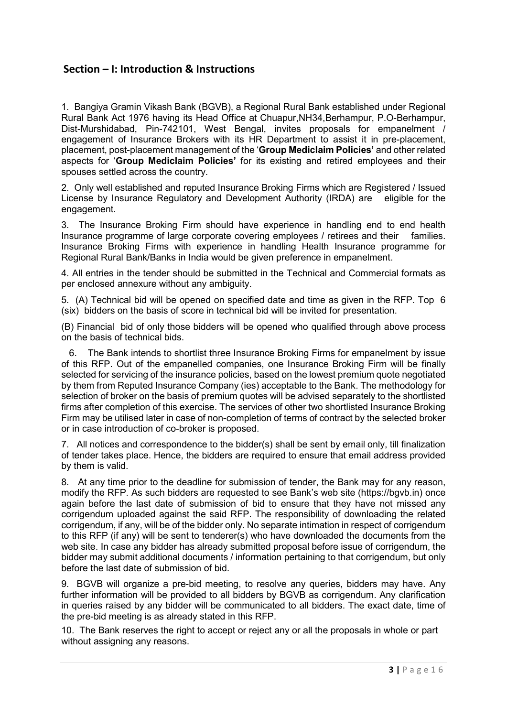# Section – I: Introduction & Instructions

1. Bangiya Gramin Vikash Bank (BGVB), a Regional Rural Bank established under Regional Rural Bank Act 1976 having its Head Office at Chuapur,NH34,Berhampur, P.O-Berhampur, Dist-Murshidabad, Pin-742101, West Bengal, invites proposals for empanelment / engagement of Insurance Brokers with its HR Department to assist it in pre-placement, placement, post-placement management of the 'Group Mediclaim Policies' and other related aspects for 'Group Mediclaim Policies' for its existing and retired employees and their spouses settled across the country.

2. Only well established and reputed Insurance Broking Firms which are Registered / Issued License by Insurance Regulatory and Development Authority (IRDA) are eligible for the engagement.

3. The Insurance Broking Firm should have experience in handling end to end health Insurance programme of large corporate covering employees / retirees and their families. Insurance Broking Firms with experience in handling Health Insurance programme for Regional Rural Bank/Banks in India would be given preference in empanelment.

4. All entries in the tender should be submitted in the Technical and Commercial formats as per enclosed annexure without any ambiguity.

5. (A) Technical bid will be opened on specified date and time as given in the RFP. Top 6 (six) bidders on the basis of score in technical bid will be invited for presentation.

(B) Financial bid of only those bidders will be opened who qualified through above process on the basis of technical bids.

 6. The Bank intends to shortlist three Insurance Broking Firms for empanelment by issue of this RFP. Out of the empanelled companies, one Insurance Broking Firm will be finally selected for servicing of the insurance policies, based on the lowest premium quote negotiated by them from Reputed Insurance Company (ies) acceptable to the Bank. The methodology for selection of broker on the basis of premium quotes will be advised separately to the shortlisted firms after completion of this exercise. The services of other two shortlisted Insurance Broking Firm may be utilised later in case of non-completion of terms of contract by the selected broker or in case introduction of co-broker is proposed.

7. All notices and correspondence to the bidder(s) shall be sent by email only, till finalization of tender takes place. Hence, the bidders are required to ensure that email address provided by them is valid.

8. At any time prior to the deadline for submission of tender, the Bank may for any reason, modify the RFP. As such bidders are requested to see Bank's web site (https://bgvb.in) once again before the last date of submission of bid to ensure that they have not missed any corrigendum uploaded against the said RFP. The responsibility of downloading the related corrigendum, if any, will be of the bidder only. No separate intimation in respect of corrigendum to this RFP (if any) will be sent to tenderer(s) who have downloaded the documents from the web site. In case any bidder has already submitted proposal before issue of corrigendum, the bidder may submit additional documents / information pertaining to that corrigendum, but only before the last date of submission of bid.

9. BGVB will organize a pre-bid meeting, to resolve any queries, bidders may have. Any further information will be provided to all bidders by BGVB as corrigendum. Any clarification in queries raised by any bidder will be communicated to all bidders. The exact date, time of the pre-bid meeting is as already stated in this RFP.

10. The Bank reserves the right to accept or reject any or all the proposals in whole or part without assigning any reasons.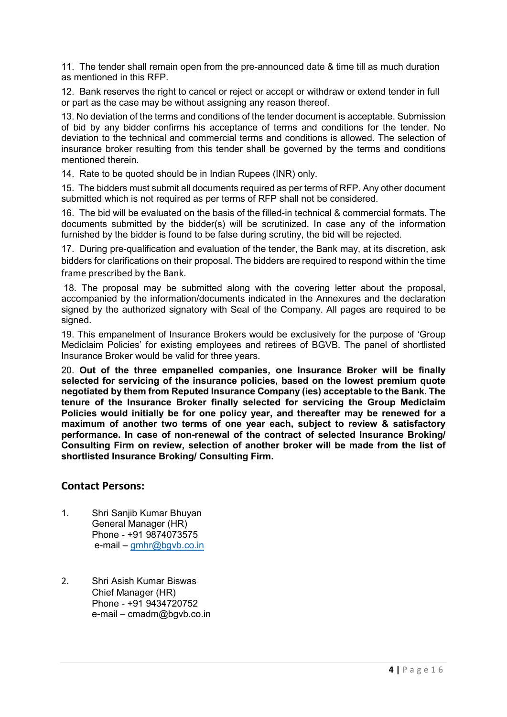11. The tender shall remain open from the pre-announced date & time till as much duration as mentioned in this RFP.

12. Bank reserves the right to cancel or reject or accept or withdraw or extend tender in full or part as the case may be without assigning any reason thereof.

13. No deviation of the terms and conditions of the tender document is acceptable. Submission of bid by any bidder confirms his acceptance of terms and conditions for the tender. No deviation to the technical and commercial terms and conditions is allowed. The selection of insurance broker resulting from this tender shall be governed by the terms and conditions mentioned therein.

14. Rate to be quoted should be in Indian Rupees (INR) only.

15. The bidders must submit all documents required as per terms of RFP. Any other document submitted which is not required as per terms of RFP shall not be considered.

16. The bid will be evaluated on the basis of the filled-in technical & commercial formats. The documents submitted by the bidder(s) will be scrutinized. In case any of the information furnished by the bidder is found to be false during scrutiny, the bid will be rejected.

17. During pre-qualification and evaluation of the tender, the Bank may, at its discretion, ask bidders for clarifications on their proposal. The bidders are required to respond within the time frame prescribed by the Bank.

18. The proposal may be submitted along with the covering letter about the proposal, accompanied by the information/documents indicated in the Annexures and the declaration signed by the authorized signatory with Seal of the Company. All pages are required to be signed.

19. This empanelment of Insurance Brokers would be exclusively for the purpose of 'Group Mediclaim Policies' for existing employees and retirees of BGVB. The panel of shortlisted Insurance Broker would be valid for three years.

20. Out of the three empanelled companies, one Insurance Broker will be finally selected for servicing of the insurance policies, based on the lowest premium quote negotiated by them from Reputed Insurance Company (ies) acceptable to the Bank. The tenure of the Insurance Broker finally selected for servicing the Group Mediclaim Policies would initially be for one policy year, and thereafter may be renewed for a maximum of another two terms of one year each, subject to review & satisfactory performance. In case of non-renewal of the contract of selected Insurance Broking/ Consulting Firm on review, selection of another broker will be made from the list of shortlisted Insurance Broking/ Consulting Firm.

#### Contact Persons:

- 1. Shri Sanjib Kumar Bhuyan General Manager (HR) Phone - +91 9874073575 e-mail – gmhr@bgvb.co.in
- 2. Shri Asish Kumar Biswas Chief Manager (HR) Phone - +91 9434720752 e-mail – cmadm@bgvb.co.in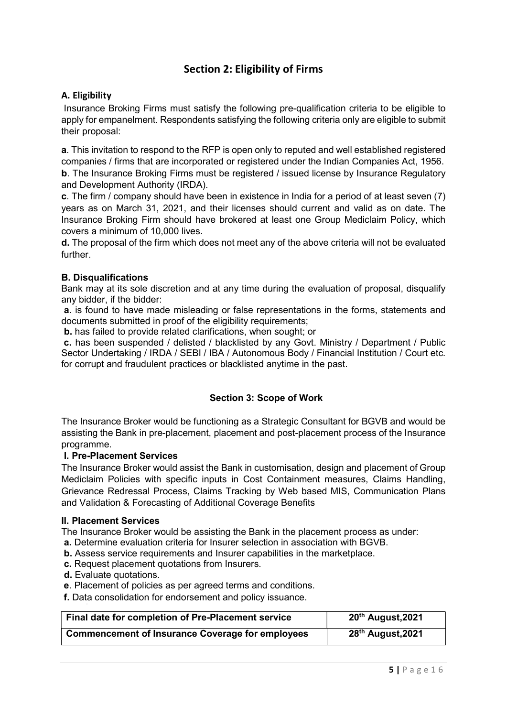# Section 2: Eligibility of Firms

#### A. Eligibility

 Insurance Broking Firms must satisfy the following pre-qualification criteria to be eligible to apply for empanelment. Respondents satisfying the following criteria only are eligible to submit their proposal:

a. This invitation to respond to the RFP is open only to reputed and well established registered companies / firms that are incorporated or registered under the Indian Companies Act, 1956.

**b.** The Insurance Broking Firms must be registered / issued license by Insurance Regulatory and Development Authority (IRDA).

c. The firm / company should have been in existence in India for a period of at least seven (7) years as on March 31, 2021, and their licenses should current and valid as on date. The Insurance Broking Firm should have brokered at least one Group Mediclaim Policy, which covers a minimum of 10,000 lives.

d. The proposal of the firm which does not meet any of the above criteria will not be evaluated further.

#### B. Disqualifications

Bank may at its sole discretion and at any time during the evaluation of proposal, disqualify any bidder, if the bidder:

a. is found to have made misleading or false representations in the forms, statements and documents submitted in proof of the eligibility requirements;

b. has failed to provide related clarifications, when sought; or

 c. has been suspended / delisted / blacklisted by any Govt. Ministry / Department / Public Sector Undertaking / IRDA / SEBI / IBA / Autonomous Body / Financial Institution / Court etc. for corrupt and fraudulent practices or blacklisted anytime in the past.

#### Section 3: Scope of Work

The Insurance Broker would be functioning as a Strategic Consultant for BGVB and would be assisting the Bank in pre-placement, placement and post-placement process of the Insurance programme.

#### I. Pre-Placement Services

The Insurance Broker would assist the Bank in customisation, design and placement of Group Mediclaim Policies with specific inputs in Cost Containment measures, Claims Handling, Grievance Redressal Process, Claims Tracking by Web based MIS, Communication Plans and Validation & Forecasting of Additional Coverage Benefits

#### II. Placement Services

The Insurance Broker would be assisting the Bank in the placement process as under:

- a. Determine evaluation criteria for Insurer selection in association with BGVB.
- b. Assess service requirements and Insurer capabilities in the marketplace.
- c. Request placement quotations from Insurers.
- d. Evaluate quotations.
- e. Placement of policies as per agreed terms and conditions.
- f. Data consolidation for endorsement and policy issuance.

| Final date for completion of Pre-Placement service      | 20th August, 2021             |
|---------------------------------------------------------|-------------------------------|
| <b>Commencement of Insurance Coverage for employees</b> | 28 <sup>th</sup> August, 2021 |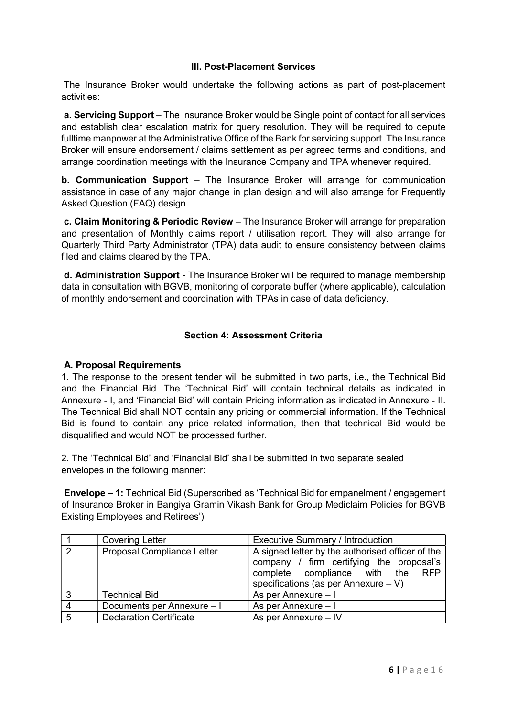#### III. Post-Placement Services

 The Insurance Broker would undertake the following actions as part of post-placement activities:

a. Servicing Support – The Insurance Broker would be Single point of contact for all services and establish clear escalation matrix for query resolution. They will be required to depute fulltime manpower at the Administrative Office of the Bank for servicing support. The Insurance Broker will ensure endorsement / claims settlement as per agreed terms and conditions, and arrange coordination meetings with the Insurance Company and TPA whenever required.

b. Communication Support – The Insurance Broker will arrange for communication assistance in case of any major change in plan design and will also arrange for Frequently Asked Question (FAQ) design.

c. Claim Monitoring & Periodic Review – The Insurance Broker will arrange for preparation and presentation of Monthly claims report / utilisation report. They will also arrange for Quarterly Third Party Administrator (TPA) data audit to ensure consistency between claims filed and claims cleared by the TPA.

d. Administration Support - The Insurance Broker will be required to manage membership data in consultation with BGVB, monitoring of corporate buffer (where applicable), calculation of monthly endorsement and coordination with TPAs in case of data deficiency.

#### Section 4: Assessment Criteria

#### A. Proposal Requirements

1. The response to the present tender will be submitted in two parts, i.e., the Technical Bid and the Financial Bid. The 'Technical Bid' will contain technical details as indicated in Annexure - I, and 'Financial Bid' will contain Pricing information as indicated in Annexure - II. The Technical Bid shall NOT contain any pricing or commercial information. If the Technical Bid is found to contain any price related information, then that technical Bid would be disqualified and would NOT be processed further.

2. The 'Technical Bid' and 'Financial Bid' shall be submitted in two separate sealed envelopes in the following manner:

Envelope – 1: Technical Bid (Superscribed as 'Technical Bid for empanelment / engagement of Insurance Broker in Bangiya Gramin Vikash Bank for Group Mediclaim Policies for BGVB Existing Employees and Retirees')

|   | <b>Covering Letter</b>            | <b>Executive Summary / Introduction</b>                                                                                                                                  |  |
|---|-----------------------------------|--------------------------------------------------------------------------------------------------------------------------------------------------------------------------|--|
| 2 | <b>Proposal Compliance Letter</b> | A signed letter by the authorised officer of the<br>company / firm certifying the proposal's<br>complete compliance with the RFP<br>specifications (as per Annexure – V) |  |
| 3 | <b>Technical Bid</b>              | As per Annexure - I                                                                                                                                                      |  |
|   | Documents per Annexure - I        | As per Annexure – I                                                                                                                                                      |  |
| 5 | <b>Declaration Certificate</b>    | As per Annexure - IV                                                                                                                                                     |  |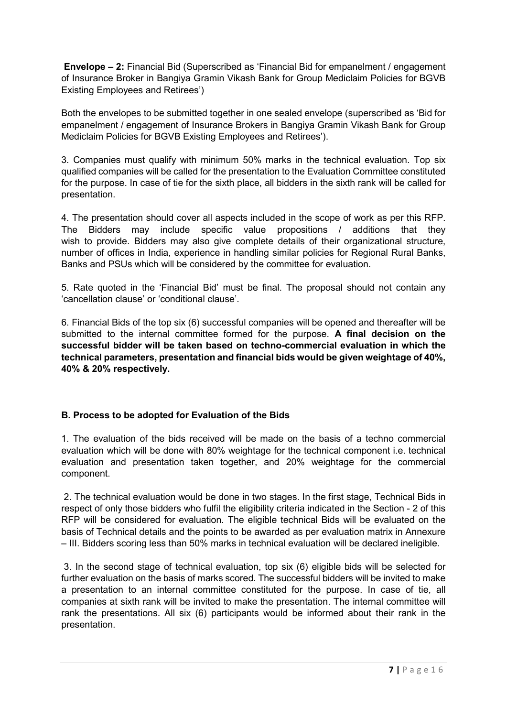Envelope – 2: Financial Bid (Superscribed as 'Financial Bid for empanelment / engagement of Insurance Broker in Bangiya Gramin Vikash Bank for Group Mediclaim Policies for BGVB Existing Employees and Retirees')

Both the envelopes to be submitted together in one sealed envelope (superscribed as 'Bid for empanelment / engagement of Insurance Brokers in Bangiya Gramin Vikash Bank for Group Mediclaim Policies for BGVB Existing Employees and Retirees').

3. Companies must qualify with minimum 50% marks in the technical evaluation. Top six qualified companies will be called for the presentation to the Evaluation Committee constituted for the purpose. In case of tie for the sixth place, all bidders in the sixth rank will be called for presentation.

4. The presentation should cover all aspects included in the scope of work as per this RFP. The Bidders may include specific value propositions / additions that they wish to provide. Bidders may also give complete details of their organizational structure, number of offices in India, experience in handling similar policies for Regional Rural Banks, Banks and PSUs which will be considered by the committee for evaluation.

5. Rate quoted in the 'Financial Bid' must be final. The proposal should not contain any 'cancellation clause' or 'conditional clause'.

6. Financial Bids of the top six (6) successful companies will be opened and thereafter will be submitted to the internal committee formed for the purpose. A final decision on the successful bidder will be taken based on techno-commercial evaluation in which the technical parameters, presentation and financial bids would be given weightage of 40%, 40% & 20% respectively.

#### B. Process to be adopted for Evaluation of the Bids

1. The evaluation of the bids received will be made on the basis of a techno commercial evaluation which will be done with 80% weightage for the technical component i.e. technical evaluation and presentation taken together, and 20% weightage for the commercial component.

 2. The technical evaluation would be done in two stages. In the first stage, Technical Bids in respect of only those bidders who fulfil the eligibility criteria indicated in the Section - 2 of this RFP will be considered for evaluation. The eligible technical Bids will be evaluated on the basis of Technical details and the points to be awarded as per evaluation matrix in Annexure – III. Bidders scoring less than 50% marks in technical evaluation will be declared ineligible.

 3. In the second stage of technical evaluation, top six (6) eligible bids will be selected for further evaluation on the basis of marks scored. The successful bidders will be invited to make a presentation to an internal committee constituted for the purpose. In case of tie, all companies at sixth rank will be invited to make the presentation. The internal committee will rank the presentations. All six (6) participants would be informed about their rank in the presentation.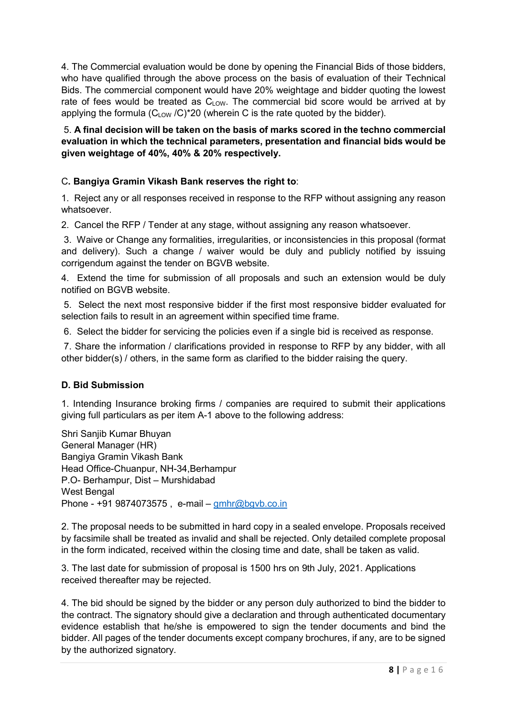4. The Commercial evaluation would be done by opening the Financial Bids of those bidders, who have qualified through the above process on the basis of evaluation of their Technical Bids. The commercial component would have 20% weightage and bidder quoting the lowest rate of fees would be treated as  $C_{LOW}$ . The commercial bid score would be arrived at by applying the formula  $(C_{LOW}/C)^*20$  (wherein C is the rate quoted by the bidder).

#### 5. A final decision will be taken on the basis of marks scored in the techno commercial evaluation in which the technical parameters, presentation and financial bids would be given weightage of 40%, 40% & 20% respectively.

#### C. Bangiya Gramin Vikash Bank reserves the right to:

1. Reject any or all responses received in response to the RFP without assigning any reason whatsoever.

2. Cancel the RFP / Tender at any stage, without assigning any reason whatsoever.

 3. Waive or Change any formalities, irregularities, or inconsistencies in this proposal (format and delivery). Such a change / waiver would be duly and publicly notified by issuing corrigendum against the tender on BGVB website.

4. Extend the time for submission of all proposals and such an extension would be duly notified on BGVB website.

 5. Select the next most responsive bidder if the first most responsive bidder evaluated for selection fails to result in an agreement within specified time frame.

6. Select the bidder for servicing the policies even if a single bid is received as response.

 7. Share the information / clarifications provided in response to RFP by any bidder, with all other bidder(s) / others, in the same form as clarified to the bidder raising the query.

#### D. Bid Submission

1. Intending Insurance broking firms / companies are required to submit their applications giving full particulars as per item A-1 above to the following address:

Shri Sanjib Kumar Bhuyan General Manager (HR) Bangiya Gramin Vikash Bank Head Office-Chuanpur, NH-34,Berhampur P.O- Berhampur, Dist – Murshidabad West Bengal Phone - +91 9874073575 , e-mail – gmhr@bgvb.co.in

2. The proposal needs to be submitted in hard copy in a sealed envelope. Proposals received by facsimile shall be treated as invalid and shall be rejected. Only detailed complete proposal in the form indicated, received within the closing time and date, shall be taken as valid.

3. The last date for submission of proposal is 1500 hrs on 9th July, 2021. Applications received thereafter may be rejected.

4. The bid should be signed by the bidder or any person duly authorized to bind the bidder to the contract. The signatory should give a declaration and through authenticated documentary evidence establish that he/she is empowered to sign the tender documents and bind the bidder. All pages of the tender documents except company brochures, if any, are to be signed by the authorized signatory.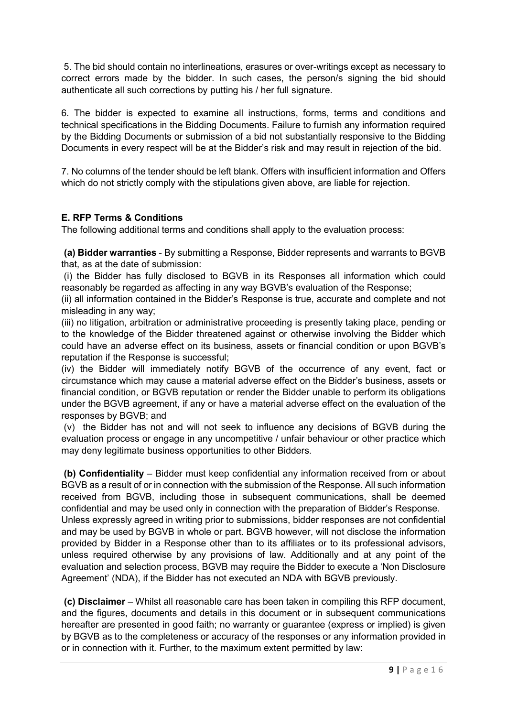5. The bid should contain no interlineations, erasures or over-writings except as necessary to correct errors made by the bidder. In such cases, the person/s signing the bid should authenticate all such corrections by putting his / her full signature.

6. The bidder is expected to examine all instructions, forms, terms and conditions and technical specifications in the Bidding Documents. Failure to furnish any information required by the Bidding Documents or submission of a bid not substantially responsive to the Bidding Documents in every respect will be at the Bidder's risk and may result in rejection of the bid.

7. No columns of the tender should be left blank. Offers with insufficient information and Offers which do not strictly comply with the stipulations given above, are liable for rejection.

#### E. RFP Terms & Conditions

The following additional terms and conditions shall apply to the evaluation process:

(a) Bidder warranties - By submitting a Response, Bidder represents and warrants to BGVB that, as at the date of submission:

 (i) the Bidder has fully disclosed to BGVB in its Responses all information which could reasonably be regarded as affecting in any way BGVB's evaluation of the Response;

(ii) all information contained in the Bidder's Response is true, accurate and complete and not misleading in any way;

(iii) no litigation, arbitration or administrative proceeding is presently taking place, pending or to the knowledge of the Bidder threatened against or otherwise involving the Bidder which could have an adverse effect on its business, assets or financial condition or upon BGVB's reputation if the Response is successful;

(iv) the Bidder will immediately notify BGVB of the occurrence of any event, fact or circumstance which may cause a material adverse effect on the Bidder's business, assets or financial condition, or BGVB reputation or render the Bidder unable to perform its obligations under the BGVB agreement, if any or have a material adverse effect on the evaluation of the responses by BGVB; and

 (v) the Bidder has not and will not seek to influence any decisions of BGVB during the evaluation process or engage in any uncompetitive / unfair behaviour or other practice which may deny legitimate business opportunities to other Bidders.

 (b) Confidentiality – Bidder must keep confidential any information received from or about BGVB as a result of or in connection with the submission of the Response. All such information received from BGVB, including those in subsequent communications, shall be deemed confidential and may be used only in connection with the preparation of Bidder's Response. Unless expressly agreed in writing prior to submissions, bidder responses are not confidential

and may be used by BGVB in whole or part. BGVB however, will not disclose the information provided by Bidder in a Response other than to its affiliates or to its professional advisors, unless required otherwise by any provisions of law. Additionally and at any point of the evaluation and selection process, BGVB may require the Bidder to execute a 'Non Disclosure Agreement' (NDA), if the Bidder has not executed an NDA with BGVB previously.

(c) Disclaimer – Whilst all reasonable care has been taken in compiling this RFP document, and the figures, documents and details in this document or in subsequent communications hereafter are presented in good faith; no warranty or guarantee (express or implied) is given by BGVB as to the completeness or accuracy of the responses or any information provided in or in connection with it. Further, to the maximum extent permitted by law: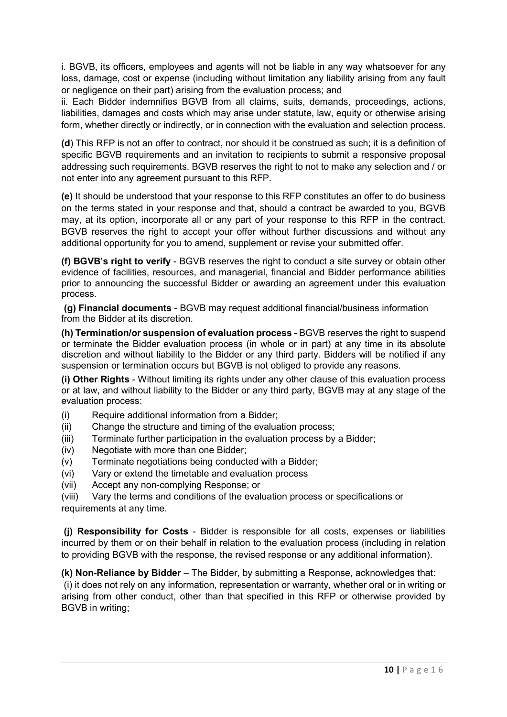i. BGVB, its officers, employees and agents will not be liable in any way whatsoever for any loss, damage, cost or expense (including without limitation any liability arising from any fault or negligence on their part) arising from the evaluation process; and

ii. Each Bidder indemnifies BGVB from all claims, suits, demands, proceedings, actions, liabilities, damages and costs which may arise under statute, law, equity or otherwise arising form, whether directly or indirectly, or in connection with the evaluation and selection process.

(d) This RFP is not an offer to contract, nor should it be construed as such; it is a definition of specific BGVB requirements and an invitation to recipients to submit a responsive proposal addressing such requirements. BGVB reserves the right to not to make any selection and / or not enter into any agreement pursuant to this RFP.

(e) It should be understood that your response to this RFP constitutes an offer to do business on the terms stated in your response and that, should a contract be awarded to you, BGVB may, at its option, incorporate all or any part of your response to this RFP in the contract. BGVB reserves the right to accept your offer without further discussions and without any additional opportunity for you to amend, supplement or revise your submitted offer.

(f) BGVB's right to verify - BGVB reserves the right to conduct a site survey or obtain other evidence of facilities, resources, and managerial, financial and Bidder performance abilities prior to announcing the successful Bidder or awarding an agreement under this evaluation process.

(g) Financial documents - BGVB may request additional financial/business information from the Bidder at its discretion.

(h) Termination/or suspension of evaluation process - BGVB reserves the right to suspend or terminate the Bidder evaluation process (in whole or in part) at any time in its absolute discretion and without liability to the Bidder or any third party. Bidders will be notified if any suspension or termination occurs but BGVB is not obliged to provide any reasons.

(i) Other Rights - Without limiting its rights under any other clause of this evaluation process or at law, and without liability to the Bidder or any third party, BGVB may at any stage of the evaluation process:

- (i) Require additional information from a Bidder;
- (ii) Change the structure and timing of the evaluation process;
- (iii) Terminate further participation in the evaluation process by a Bidder;
- (iv) Negotiate with more than one Bidder;
- (v) Terminate negotiations being conducted with a Bidder;
- (vi) Vary or extend the timetable and evaluation process
- (vii) Accept any non-complying Response; or

(viii) Vary the terms and conditions of the evaluation process or specifications or requirements at any time.

 (j) Responsibility for Costs - Bidder is responsible for all costs, expenses or liabilities incurred by them or on their behalf in relation to the evaluation process (including in relation to providing BGVB with the response, the revised response or any additional information).

(k) Non-Reliance by Bidder – The Bidder, by submitting a Response, acknowledges that: (i) it does not rely on any information, representation or warranty, whether oral or in writing or arising from other conduct, other than that specified in this RFP or otherwise provided by BGVB in writing;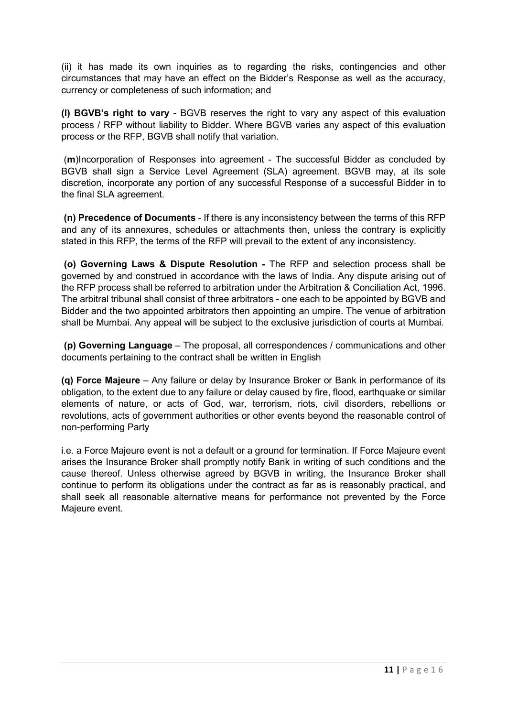(ii) it has made its own inquiries as to regarding the risks, contingencies and other circumstances that may have an effect on the Bidder's Response as well as the accuracy, currency or completeness of such information; and

(l) BGVB's right to vary - BGVB reserves the right to vary any aspect of this evaluation process / RFP without liability to Bidder. Where BGVB varies any aspect of this evaluation process or the RFP, BGVB shall notify that variation.

 (m)Incorporation of Responses into agreement - The successful Bidder as concluded by BGVB shall sign a Service Level Agreement (SLA) agreement. BGVB may, at its sole discretion, incorporate any portion of any successful Response of a successful Bidder in to the final SLA agreement.

 (n) Precedence of Documents - If there is any inconsistency between the terms of this RFP and any of its annexures, schedules or attachments then, unless the contrary is explicitly stated in this RFP, the terms of the RFP will prevail to the extent of any inconsistency.

(o) Governing Laws & Dispute Resolution - The RFP and selection process shall be governed by and construed in accordance with the laws of India. Any dispute arising out of the RFP process shall be referred to arbitration under the Arbitration & Conciliation Act, 1996. The arbitral tribunal shall consist of three arbitrators - one each to be appointed by BGVB and Bidder and the two appointed arbitrators then appointing an umpire. The venue of arbitration shall be Mumbai. Any appeal will be subject to the exclusive jurisdiction of courts at Mumbai.

(p) Governing Language – The proposal, all correspondences / communications and other documents pertaining to the contract shall be written in English

(q) Force Majeure – Any failure or delay by Insurance Broker or Bank in performance of its obligation, to the extent due to any failure or delay caused by fire, flood, earthquake or similar elements of nature, or acts of God, war, terrorism, riots, civil disorders, rebellions or revolutions, acts of government authorities or other events beyond the reasonable control of non-performing Party

i.e. a Force Majeure event is not a default or a ground for termination. If Force Majeure event arises the Insurance Broker shall promptly notify Bank in writing of such conditions and the cause thereof. Unless otherwise agreed by BGVB in writing, the Insurance Broker shall continue to perform its obligations under the contract as far as is reasonably practical, and shall seek all reasonable alternative means for performance not prevented by the Force Majeure event.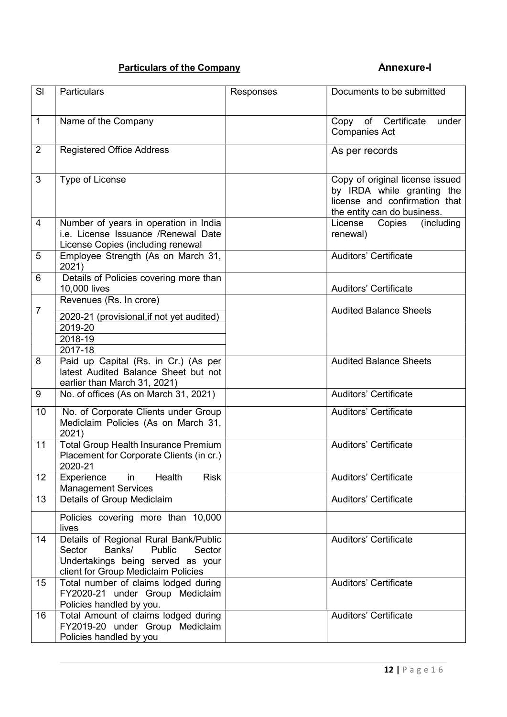# Particulars of the Company **Annexure-I** Annexure-I

| SI             | <b>Particulars</b>                                                                                                                                        | Responses | Documents to be submitted                                                                                                     |
|----------------|-----------------------------------------------------------------------------------------------------------------------------------------------------------|-----------|-------------------------------------------------------------------------------------------------------------------------------|
| $\mathbf{1}$   | Name of the Company                                                                                                                                       |           | Copy of Certificate<br>under<br><b>Companies Act</b>                                                                          |
| $\overline{2}$ | <b>Registered Office Address</b>                                                                                                                          |           | As per records                                                                                                                |
| 3              | Type of License                                                                                                                                           |           | Copy of original license issued<br>by IRDA while granting the<br>license and confirmation that<br>the entity can do business. |
| 4              | Number of years in operation in India<br>i.e. License Issuance / Renewal Date<br>License Copies (including renewal                                        |           | (including<br>License<br>Copies<br>renewal)                                                                                   |
| 5              | Employee Strength (As on March 31,<br>2021)                                                                                                               |           | <b>Auditors' Certificate</b>                                                                                                  |
| 6              | Details of Policies covering more than<br>10,000 lives                                                                                                    |           | <b>Auditors' Certificate</b>                                                                                                  |
| $\overline{7}$ | Revenues (Rs. In crore)<br>2020-21 (provisional, if not yet audited)<br>2019-20<br>2018-19<br>2017-18                                                     |           | <b>Audited Balance Sheets</b>                                                                                                 |
| 8              | Paid up Capital (Rs. in Cr.) (As per<br>latest Audited Balance Sheet but not<br>earlier than March 31, 2021)                                              |           | <b>Audited Balance Sheets</b>                                                                                                 |
| 9              | No. of offices (As on March 31, 2021)                                                                                                                     |           | <b>Auditors' Certificate</b>                                                                                                  |
| 10             | No. of Corporate Clients under Group<br>Mediclaim Policies (As on March 31,<br>2021)                                                                      |           | <b>Auditors' Certificate</b>                                                                                                  |
| 11             | <b>Total Group Health Insurance Premium</b><br>Placement for Corporate Clients (in cr.)<br>2020-21                                                        |           | <b>Auditors' Certificate</b>                                                                                                  |
| 12             | Health<br><b>Risk</b><br>in<br>Experience<br><b>Management Services</b>                                                                                   |           | <b>Auditors' Certificate</b>                                                                                                  |
| 13             | Details of Group Mediclaim                                                                                                                                |           | <b>Auditors' Certificate</b>                                                                                                  |
|                | Policies covering more than 10,000<br>lives                                                                                                               |           |                                                                                                                               |
| 14             | Details of Regional Rural Bank/Public<br>Sector<br>Banks/<br>Public<br>Sector<br>Undertakings being served as your<br>client for Group Mediclaim Policies |           | <b>Auditors' Certificate</b>                                                                                                  |
| 15             | Total number of claims lodged during<br>FY2020-21 under Group Mediclaim<br>Policies handled by you.                                                       |           | <b>Auditors' Certificate</b>                                                                                                  |
| 16             | Total Amount of claims lodged during<br>FY2019-20 under Group Mediclaim<br>Policies handled by you                                                        |           | <b>Auditors' Certificate</b>                                                                                                  |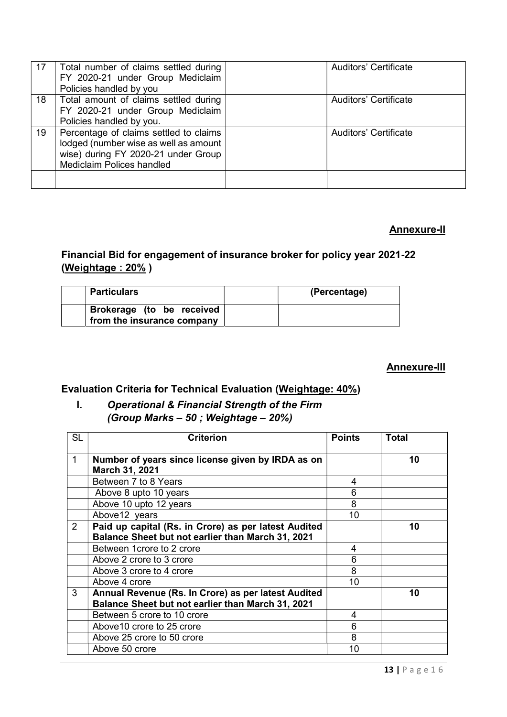| 17 | Total number of claims settled during<br>FY 2020-21 under Group Mediclaim<br>Policies handled by you                                                | <b>Auditors' Certificate</b> |
|----|-----------------------------------------------------------------------------------------------------------------------------------------------------|------------------------------|
| 18 | Total amount of claims settled during<br>FY 2020-21 under Group Mediclaim<br>Policies handled by you.                                               | Auditors' Certificate        |
| 19 | Percentage of claims settled to claims<br>lodged (number wise as well as amount<br>wise) during FY 2020-21 under Group<br>Mediclaim Polices handled | <b>Auditors' Certificate</b> |
|    |                                                                                                                                                     |                              |

#### Annexure-II

## Financial Bid for engagement of insurance broker for policy year 2021-22 (Weightage: 20%)

| <b>Particulars</b>                                      | (Percentage) |
|---------------------------------------------------------|--------------|
| Brokerage (to be received<br>from the insurance company |              |

#### Annexure-III

# Evaluation Criteria for Technical Evaluation (Weightage: 40%)

#### I. Operational & Financial Strength of the Firm (Group Marks – 50 ; Weightage – 20%)

| <b>SL</b>      | <b>Criterion</b>                                                    | <b>Points</b> | <b>Total</b> |
|----------------|---------------------------------------------------------------------|---------------|--------------|
| 1              | Number of years since license given by IRDA as on<br>March 31, 2021 |               | 10           |
|                | Between 7 to 8 Years                                                | 4             |              |
|                | Above 8 upto 10 years                                               | 6             |              |
|                | Above 10 upto 12 years                                              | 8             |              |
|                | Above12 years                                                       | 10            |              |
| $\overline{2}$ | Paid up capital (Rs. in Crore) as per latest Audited                |               | 10           |
|                | Balance Sheet but not earlier than March 31, 2021                   |               |              |
|                | Between 1 crore to 2 crore                                          | 4             |              |
|                | Above 2 crore to 3 crore                                            | 6             |              |
|                | Above 3 crore to 4 crore                                            | 8             |              |
|                | Above 4 crore                                                       | 10            |              |
| 3              | Annual Revenue (Rs. In Crore) as per latest Audited                 |               | 10           |
|                | Balance Sheet but not earlier than March 31, 2021                   |               |              |
|                | Between 5 crore to 10 crore                                         | 4             |              |
|                | Above 10 crore to 25 crore                                          | 6             |              |
|                | Above 25 crore to 50 crore                                          | 8             |              |
|                | Above 50 crore                                                      | 10            |              |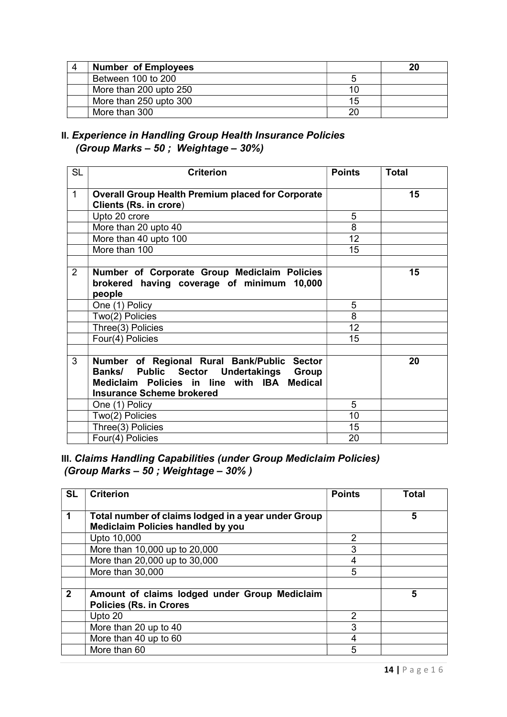| Δ | <b>Number of Employees</b> |    | 20 |
|---|----------------------------|----|----|
|   | Between 100 to 200         |    |    |
|   | More than 200 upto 250     | 10 |    |
|   | More than 250 upto 300     | 15 |    |
|   | More than 300              | 20 |    |

# II. Experience in Handling Group Health Insurance Policies (Group Marks – 50 ; Weightage – 30%)

| <b>SL</b>    | <b>Criterion</b>                                                                                                                                                          | <b>Points</b> | <b>Total</b> |
|--------------|---------------------------------------------------------------------------------------------------------------------------------------------------------------------------|---------------|--------------|
| $\mathbf{1}$ | <b>Overall Group Health Premium placed for Corporate</b><br>Clients (Rs. in crore)                                                                                        |               | 15           |
|              | Upto 20 crore                                                                                                                                                             | 5             |              |
|              | More than 20 upto 40                                                                                                                                                      | 8             |              |
|              | More than 40 upto 100                                                                                                                                                     | 12            |              |
|              | More than 100                                                                                                                                                             | 15            |              |
|              |                                                                                                                                                                           |               |              |
| 2            | Number of Corporate Group Mediclaim Policies<br>brokered having coverage of minimum 10,000<br>people                                                                      |               | 15           |
|              | One (1) Policy                                                                                                                                                            | 5             |              |
|              | Two(2) Policies                                                                                                                                                           | 8             |              |
|              | Three(3) Policies                                                                                                                                                         | 12            |              |
|              | Four(4) Policies                                                                                                                                                          | 15            |              |
|              |                                                                                                                                                                           |               |              |
| 3            | Number of Regional Rural Bank/Public Sector<br>Banks/ Public Sector Undertakings Group<br>Mediclaim Policies in line with IBA Medical<br><b>Insurance Scheme brokered</b> |               | 20           |
|              | One (1) Policy                                                                                                                                                            | 5             |              |
|              | Two(2) Policies                                                                                                                                                           | 10            |              |
|              | Three(3) Policies                                                                                                                                                         | 15            |              |
|              | Four(4) Policies                                                                                                                                                          | 20            |              |

III. Claims Handling Capabilities (under Group Mediclaim Policies) (Group Marks – 50 ; Weightage – 30% )

| <b>SL</b>    | <b>Criterion</b>                                                                                | <b>Points</b>  | Total |
|--------------|-------------------------------------------------------------------------------------------------|----------------|-------|
| 1            | Total number of claims lodged in a year under Group<br><b>Medicialm Policies handled by you</b> |                | 5     |
|              | Upto 10,000                                                                                     | 2              |       |
|              | More than 10,000 up to 20,000                                                                   | 3              |       |
|              | More than 20,000 up to 30,000                                                                   | 4              |       |
|              | More than 30,000                                                                                | 5              |       |
|              |                                                                                                 |                |       |
| $\mathbf{2}$ | Amount of claims lodged under Group Mediclaim                                                   |                | 5     |
|              | <b>Policies (Rs. in Crores</b>                                                                  |                |       |
|              | Upto 20                                                                                         | $\overline{2}$ |       |
|              | More than 20 up to 40                                                                           | 3              |       |
|              | More than 40 up to 60                                                                           | 4              |       |
|              | More than 60                                                                                    | 5              |       |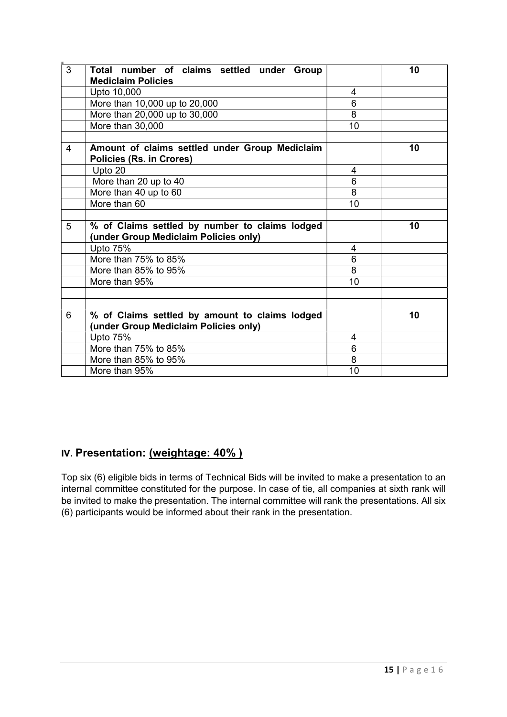| 3 | Total number of claims settled under Group<br><b>Mediclaim Policies</b>                 |                | 10 |
|---|-----------------------------------------------------------------------------------------|----------------|----|
|   | Upto 10,000                                                                             | 4              |    |
|   | More than 10,000 up to 20,000                                                           | 6              |    |
|   | More than 20,000 up to 30,000                                                           | 8              |    |
|   | More than 30,000                                                                        | 10             |    |
|   |                                                                                         |                |    |
| 4 | Amount of claims settled under Group Mediclaim<br><b>Policies (Rs. in Crores)</b>       |                | 10 |
|   | Upto 20                                                                                 | 4              |    |
|   | More than 20 up to 40                                                                   | $\overline{6}$ |    |
|   | More than 40 up to 60                                                                   | 8              |    |
|   | More than 60                                                                            | 10             |    |
| 5 | % of Claims settled by number to claims lodged<br>(under Group Mediclaim Policies only) |                | 10 |
|   | Upto 75%                                                                                | 4              |    |
|   | More than 75% to 85%                                                                    | 6              |    |
|   | More than 85% to 95%                                                                    | 8              |    |
|   | More than 95%                                                                           | 10             |    |
|   |                                                                                         |                |    |
| 6 | % of Claims settled by amount to claims lodged                                          |                | 10 |
|   | (under Group Mediclaim Policies only)                                                   |                |    |
|   | Upto 75%                                                                                | 4              |    |
|   | More than 75% to 85%                                                                    | 6              |    |
|   |                                                                                         |                |    |
|   | More than 85% to 95%                                                                    | 8              |    |

## IV. Presentation: (weightage: 40% )

Top six (6) eligible bids in terms of Technical Bids will be invited to make a presentation to an internal committee constituted for the purpose. In case of tie, all companies at sixth rank will be invited to make the presentation. The internal committee will rank the presentations. All six (6) participants would be informed about their rank in the presentation.